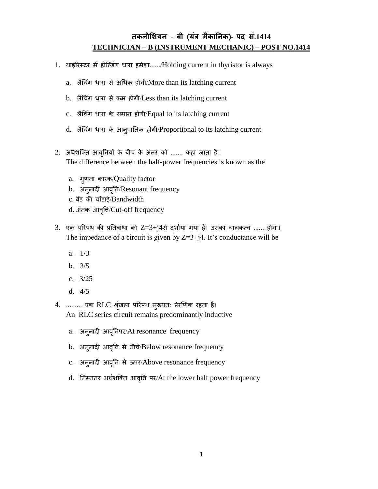## **तकनीशियन** – **बी (यंत्र मैकाननक)**– **पद सं.1414 TECHNICIAN – B (INSTRUMENT MECHANIC) – POST NO.1414**

- 1. थाइरिस्टर में होल्डिंग धारा हमेशा....../Holding current in thyristor is always
	- a. लैचिंग धारा से अधिक होगी/More than its latching current
	- b. लैचिंग धारा से कम होगी/Less than its latching current
	- c. लैचिंग धारा के समान होगी/Equal to its latching current
	- d. लैचिंग धारा के आनुपातिक होगी/Proportional to its latching current
- 2. अर्धशक्ति आवृतियों के बीच के अंतर को ....... कहा जाता है। The difference between the half-power frequencies is known as the
	- a. गुणता कारक/Quality factor
	- b. अनुनादी आवत्तृि/Resonant frequency
	- c. बैंड की ौडाई/Bandwidth
	- d. अंतक आवृति/Cut-off frequency
- $3.$  एक परिपथ की प्रतिबाधा को  $Z=3+j4$ से दर्शाया गया है। उसका चालकत्व ...... होगा। The impedance of a circuit is given by  $Z=3+j4$ . It's conductance will be
	- a. 1/3
	- b. 3/5
	- c. 3/25
	- d. 4/5

4. ......... एक RLC श्रृंखला परिपथ मुख्यतः प्रेरणिक रहता है। An RLC series circuit remains predominantly inductive

- a. अनुनादी आवृत्तिपर/At resonance frequency
- b. अनुनादी आवृत्ति से नीचे/Below resonance frequency
- c. अनुनादी आवृति से ऊपर/Above resonance frequency
- d. निम्नतर अर्धशक्ति आवृत्ति पर/At the lower half power frequency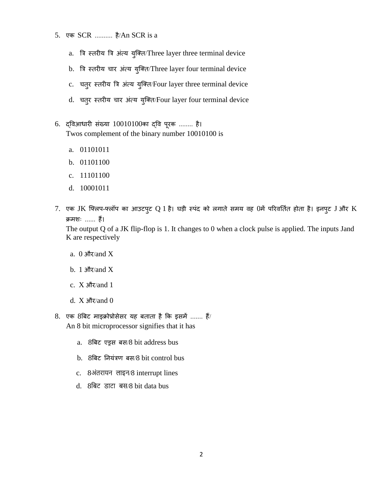- 5. एक SCR .......... है/An SCR is a
	- a. त्रि स्तरीय त्रि अंत्य युक्ति/Three layer three terminal device
	- b. त्रि स्तरीय चार अंत्य युक्ति/Three layer four terminal device
	- c. चतुर स्तरीय त्रि अंत्य युक्ति/Four layer three terminal device
	- d. चतुर स्तरीय चार अंत्य युक्ति/Four layer four terminal device
- 6. द्त्तवआधािी सिंख्या 10010100का द्त्तव पूिक ........ है। Twos complement of the binary number 10010100 is
	- a. 01101011
	- b. 01101100
	- c. 11101100
	- d. 10001011
- 7. एक JK फ्लिप-फ्लॉप का आउटपुट Q 1 है। घड़ी स्पंद को लगाते समय वह 0में परिवर्तित होता है। इनपुट J और K क्रमशः ...... हैं।

The output Q of a JK flip-flop is 1. It changes to 0 when a clock pulse is applied. The inputs Jand K are respectively

- a.  $0 \frac{\text{and } X}{\text{and } X}$
- b. 1  $\frac{\text{d}}{\text{d}}\sqrt{\text{d}}$  and X
- c.  $X \frac{\partial}{\partial x}$  and 1
- d.  $X \frac{\partial}{\partial x} \frac{\partial}{\partial y}$  and 0
- 8. एक 8बिट माइक्रोप्रोसेसर यह बताता है कि इसमें ....... हैं/ An 8 bit microprocessor signifies that it has
	- a. 8त्रबट एड्रस बस/8 bit address bus
	- b. 8बिट नियंत्रण बस/8 bit control bus
	- c. 8अंतरायन लाइन/8 interrupt lines
	- d. 8बिट डाटा बस/8 bit data bus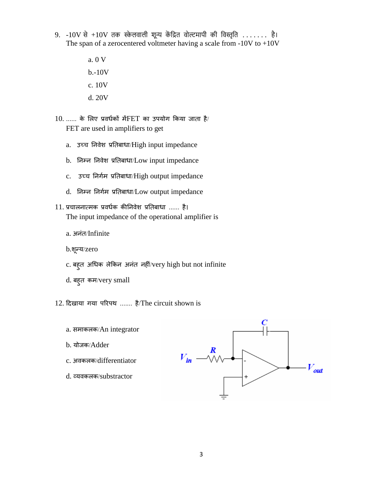- $9. -10V$  से  $+10V$  तक स्केलवाली शून्य केंद्रित वोल्टमापी की विस्तृति ....... है। The span of a zerocentered voltmeter having a scale from  $-10V$  to  $+10V$ 
	- a. 0 V b.-10V c. 10V d. 20V

 $10.$  ...... के लिए प्रवर्धकों में $FET$  का उपयोग किया जाता है/ FET are used in amplifiers to get

- a. उच्च निवेश प्रतिबाधा/High input impedance
- b. तनम्न तनवेश प्रतिबाधा/Low input impedance
- c. उच्च निर्गम प्रतिबाधा/High output impedance
- d. तनम्न तनगधम प्रतिबाधा/Low output impedance
- 11. प्र ालनात्मक प्रवधधक कीतनवेश प्रतिबाधा ...... है। The input impedance of the operational amplifier is
	- a. अनंत/Infinite

b.शून्य/zero

- c. बहुत अधिक लेकिन अनंत नहीं/very high but not infinite
- d. बहुत कम/very small
- 12. ददखाया गया परिपथ ....... है/The circuit shown is
	- a. समाकलक/An integrator
	- b. योजक/Adder
	- c. अवकलक/differentiator
	- d. व्यवकलक/substractor

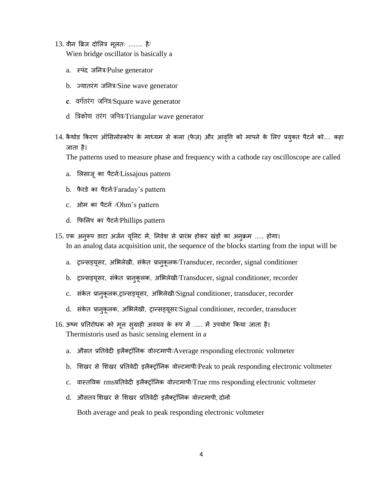13. वीन ब्रिज दोलित्र मुलतः ........ है/ Wien bridge oscillator is basically a

- a. स्पंद जनित्र/Pulse generator
- b.  $\sigma$ यातरंग जनित्र/Sine wave generator
- **c**.वर्गतरंर् जबनत्र/Square wave generator
- d त्रिकोण तरंग जनित्र/Triangular wave generator
- 14. कैथोड किरण ऑसिलोस्कोप के माध्यम से कला (फेज़) और आवृत्ति को मापने के लिए प्रयुक्त पैटर्न को.... कहा जाता है।

The patterns used to measure phase and frequency with a cathode ray oscilloscope are called

- a. लिसाजू का पैटर्न/Lissajous pattern
- b. फैरडे का पैटर्न/Faraday's pattern
- c. ओम का पैटर्न /Ohm's pattern
- d. फिलिप का पैटर्न/Phillips pattern
- 15. एक अनुरूप डाटा अर्जन यूनिट में, निवेश से प्रारंभ होकर खंड़ों का अनुक्रम ..... होगा। In an analog data acquisition unit, the sequence of the blocks starting from the input will be
	- a. ट्रान्सड्यूसर, अभिलेखी, संकेत प्रानुकूलक/Transducer, recorder, signal conditioner
	- b. ट्रान्सड्यूसर, संकेत प्रानुकूलक, अभिलेखी/Transducer, signal conditioner, recorder
	- c. संकेत प्रानुकूलक,ट्रान्सड्यूसर, अभिलेखी/Signal conditioner, transducer, recorder
	- d. संकेत प्रानुकूलक, अभिलेखी, ट्रान्सड्यूसर/Signal conditioner, recorder, transducer
- 16. ऊष्म प्रतिरोधक को मूल सुग्राही अवयव के रूप में ..... में उपयोग किया जाता है। Thermistoris used as basic sensing element in a
	- a. औसत प्रतिवेदी इलैक्ट्रॉनिक वोल्टमापी/Average responding electronic voltmeter
	- b. शिखर से शिखर प्रतिवेदी इलैक्ट्रॉनिक वोल्टमापी/Peak to peak responding electronic voltmeter
	- c. वास्ित्तवक rmsप्रतिवेदी इलैतट्रॉतनक वो्टमापी/True rms responding electronic voltmeter
	- d. औसतव शिखर से शिखर प्रतिवेदी इलैक्ट्रॉनिक वोल्टमापी, दोनों

Both average and peak to peak responding electronic voltmeter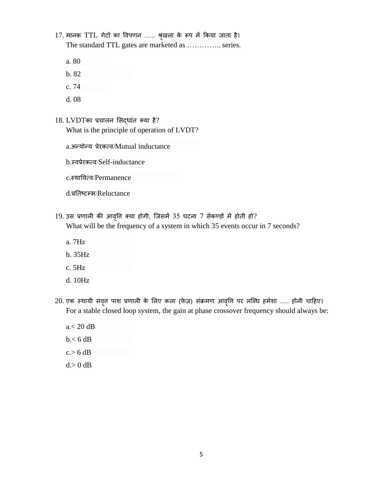17. मानक TTL गेटों का विपणन ...... श्रृंखला के रूप में किया जाता है। The standard TTL gates are marketed as ………….. series.

- a. 80
- b. 82
- c. 74
- d. 08
- 18. LVDTका प्रचालन सिद्धांत क्या है? What is the principle of operation of LVDT?
	- a.अन्योन्य प्रेरकत्व/Mutual inductance
	- b.स्वप्रेरकत्व/Self-inductance
	- c.स्थातयत्व/Permanence
	- d.प्रतिष्टम्भ/Reluctance
- $19.$  उस प्रणाली की आवृत्ति क्या होगी, जिसमें  $35$  घटना  $7$  सेकण्डों में होती हो? What will be the frequency of a system in which 35 events occur in 7 seconds?
	- a. 7Hz
	- b. 35Hz
	- c. 5Hz
	- d. 10Hz
- 20. एक स्थायी संवृत्त पाश प्रणाली के लिए कला (फेज़) संक्रमण आवृति पर लब्धि हमेशा ..... होनी चाहिए। For a stable closed loop system, the gain at phase crossover frequency should always be:
	- a.< 20 dB b.< 6 dB  $c > 6$  dB  $d > 0$  dB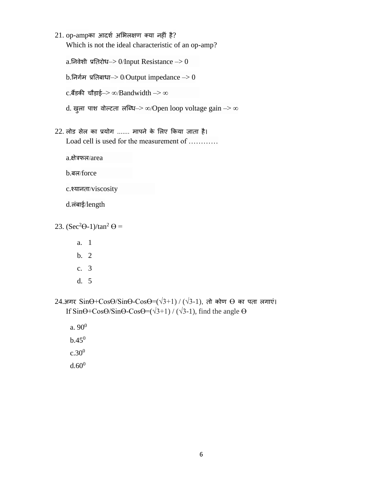$21.$  op-ampका आदर्श अभिलक्षण क्या नहीं है? Which is not the ideal characteristic of an op-amp?

a.निवेशी प्रतिरोध–> 0/Input Resistance –> 0  $b.$ निर्गम प्रतिबाधा– $> 0$ /Output impedance – $> 0$  $c.\ddot{\mathbf{d}}$ डकी चौड़ाई–> ∞/Bandwidth –> ∞ d. खुला पाश वोल्टता लब्धि–> ∞/Open loop voltage gain -> ∞

 $22$ . लोड सेल का प्रयोग ....... मापने के लिए किया जाता है। Load cell is used for the measurement of …………

a.क्षेिफल/area

- b.बल/force
- c.श्यानता/viscosity

d.लिंबाई/length

23.  $(Sec^2\Theta-1)/tan^2\Theta =$ 

- a. 1
- b. 2
- c. 3
- d. 5

24.अगर  $Sin\Theta + Cos\Theta/Sin\Theta - Cos\Theta = (\sqrt{3}+1) / (\sqrt{3}-1)$ , तो कोण  $\Theta$  का पता लगाएं। If  $\sin\Theta$ +Cos $\Theta$ /Sin $\Theta$ -Cos $\Theta$ =( $\sqrt{3}$ +1) / ( $\sqrt{3}$ -1), find the angle  $\Theta$ 

 $a. 90<sup>0</sup>$  $b.45<sup>0</sup>$  $c.30^{0}$ 

 $d.60^0$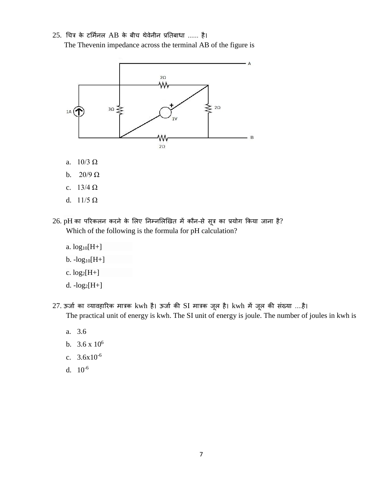## $25.$  चित्र के टर्मिनल AB के बीच थेवेनीन प्रतिबाधा ...... है।

The Thevenin impedance across the terminal AB of the figure is



- a.  $10/3 \Omega$
- b.  $20/9 \Omega$
- c.  $13/4 \Omega$
- d. 11/5 Ω
- $26$ . pH का परिकलन करने के लिए निम्नलिखित में कौन-से सूत्र का प्रयोग किया जाना है? Which of the following is the formula for pH calculation?
	- a.  $log_{10}[H+]$  $b. -log_{10}[H+]$ c.  $log_2[H+]$ d.  $-log_2[H+]$
- 27. ऊर्जा का व्यावहारिक मात्रक kwh है। ऊर्जा की SI मात्रक जूल है। kwh में जूल की संख्या ....है। The practical unit of energy is kwh. The SI unit of energy is joule. The number of joules in kwh is
	- a. 3.6
	- b.  $3.6 \times 10^6$
	- c. 3.6x10-6
	- d. 10-6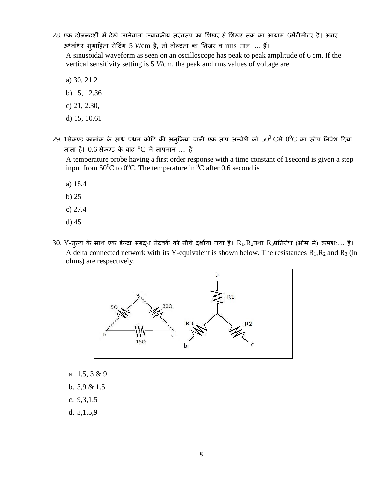28. एक दोलनदर्शी में देखे जानेवाला ज्यावक्रीय तरंगरूप का शिखर-से-शिखर तक का आयाम 6सेंटीमीटर है। अगर ऊर्ध्वाधर सुग्राहिता सेटिंग 5 *V/cm है, तो वोल्टता का शिखर व rms मान ....* हैं।

A sinusoidal waveform as seen on an oscilloscope has peak to peak amplitude of 6 cm. If the vertical sensitivity setting is 5 *V*/cm, the peak and rms values of voltage are

- a) 30, 21.2
- b) 15, 12.36
- c) 21, 2.30,
- d) 15, 10.61
- $29$ .  $1$ सेकण्ड कालांक के साथ प्रथम कोटि की अनुक्रिया वाली एक ताप अन्वेषी को  $50^0\,\mathrm{C}$ से  $0^0\mathrm{C}$  का स्टेप निवेश दिया जाता है।  $0.6$  सेकण्ड के बाद  $^{0}$ C में तापमान .... है।

A temperature probe having a first order response with a time constant of 1second is given a step input from  $50^0C$  to  $0^0C$ . The temperature in <sup>0</sup>C after 0.6 second is

- a) 18.4
- b) 25
- c) 27.4
- d) 45
- $30.$  Y-तुल्य के साथ एक डेल्टा संबद्ध नेटवर्क को नीचे दर्शाया गया है।  $R_1, R_2$ तथा  $R_3$ प्रतिरोध (ओम में) क्रमशः.... है। A delta connected network with its Y-equivalent is shown below. The resistances  $R_1, R_2$  and  $R_3$  (in ohms) are respectively.



- a. 1.5, 3 & 9
- b. 3,9 & 1.5
- c. 9,3,1.5
- d. 3,1.5,9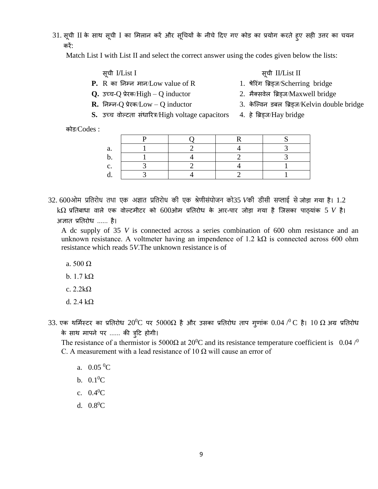31. सूची II के साथ सूची I का मिलान करें और सूचियों के नीचे दिए गए कोड का प्रयोग करते हुए सही उत्तर का चयन किें:

Match List I with List II and select the correct answer using the codes given below the lists:

- सू ी I**/**List I सू ी II**/**List II
- **P.** R का तनम्न मान/Low value of R 1. षेरििंग त्रिड्ज/Scherring bridge
- **Q.** उच्च-Q प्रेरक/High Q inductor 2. मैक्सवेल ब्रिड्ज/Maxwell bridge
- **R.** तनम्न-Q प्रेिक/Low Q inductor 3. के ल्वन डबल त्रिड्ज/Kelvin double bridge
- 
- 
- 
- S. उच्च वोल्टता संधारित्र/High voltage capacitors 4. हे ब्रिड्ज/Hay bridge
	-

कोड/Codes :

32. 600ओम प्रबतरोध तथा एक अज्ञात प्रबतरोध की एक श्रेणीसंयोजन को35 *V*की डीसी सप्लाई सेजोडा गया है। 1.2  $k\Omega$  प्रतिबाधा वाले एक वोल्टमीटर को 600ओम प्रतिरोध के आर-पार जोड़ा गया है जिसका पाठ्यांक 5 V है। अज्ञात प्रतिरोध ...... है।

A dc supply of 35 *V* is connected across a series combination of 600 ohm resistance and an unknown resistance. A voltmeter having an impendence of 1.2 k $\Omega$  is connected across 600 ohm resistance which reads 5*V*.The unknown resistance is of

- a. 500 Ω
- b.  $1.7 \text{ k}\Omega$
- c. 2.2kΩ
- d.  $2.4 \text{ k}\Omega$
- 33. एक थर्मिस्टर का प्रतिरोध  $20^0\text{C}$  पर  $5000\Omega$  है और उसका प्रतिरोध ताप ग्णांक  $0.04$  / $^0\text{C}$  है।  $10$   $\Omega$  अग्र प्रतिरोध के साथ मापने पर ...... की त्रूटि होगी।

The resistance of a thermistor is 5000 $\Omega$  at 20<sup>0</sup>C and its resistance temperature coefficient is 0.04 /<sup>0</sup> C. A measurement with a lead resistance of 10  $\Omega$  will cause an error of

- a.  $0.05\,{}^{0}C$
- b.  $0.1^{0}C$
- c.  $0.4^{0}C$
- d.  $0.8^{0}C$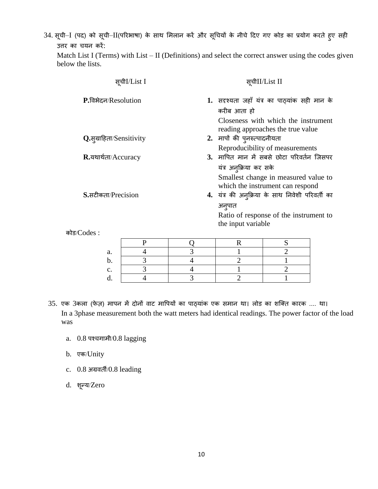34. सूची–I (पद) को सूची–II(परिभाषा) के साथ मिलान करें और सूचियों के नीचे दिए गए कोड का प्रयोग करते हुए सही उत्तर का चयन करें:

Match List I (Terms) with List – II (Definitions) and select the correct answer using the codes given below the lists.

| सचीI/List I                               |   |              | सचीII/List II                                                                                                                            |                                                                          |  |  |
|-------------------------------------------|---|--------------|------------------------------------------------------------------------------------------------------------------------------------------|--------------------------------------------------------------------------|--|--|
| P.विभेदन/Resolution                       |   |              | 1. सदृश्यता जहाँ यंत्र का पाठ्यांक सही मान के<br>करीब आता हो<br>Closeness with which the instrument<br>reading approaches the true value |                                                                          |  |  |
| Q.स्ग्राहिता/Sensitivity                  |   |              | 2. मापों की पुनरुत्पादनीयता                                                                                                              |                                                                          |  |  |
|                                           |   |              | Reproducibility of measurements                                                                                                          |                                                                          |  |  |
| R.यथार्थता/Accuracy<br>S.सटीकता/Precision |   |              | 3. मापित मान में सबसे छोटा परिवर्तन जिसपर                                                                                                |                                                                          |  |  |
|                                           |   |              | यंत्र अनुक्रिया कर सके<br>4. यंत्र की अन्क्रिया के साथ निवेशी परिवर्ती का                                                                | Smallest change in measured value to<br>which the instrument can respond |  |  |
|                                           |   |              | अनूपात<br>Ratio of response of the instrument to<br>the input variable                                                                   |                                                                          |  |  |
| कोड/ $\mathrm{Codes}:\ \$                 |   |              |                                                                                                                                          |                                                                          |  |  |
|                                           | P |              | R                                                                                                                                        | S                                                                        |  |  |
| $\Omega$                                  |   | $\mathbf{c}$ |                                                                                                                                          | ↑                                                                        |  |  |

| a. |  |  |
|----|--|--|
|    |  |  |
|    |  |  |
|    |  |  |

- 35. एक 3कला (फेज़) मापन में दोनों वाट मापियों का पाठ्यांक एक समान था। लोड का शक्ति कारक .... था। In a 3phase measurement both the watt meters had identical readings. The power factor of the load was
	- a.  $0.8$  पश्चगामी/ $0.8$  lagging
	- b. एक/Unity
	- c. 0.8 अग्रविी/0.8 leading
	- d. शून्य/Zero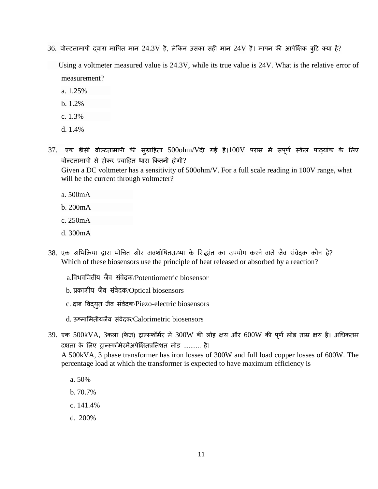$36$ . वोल्टतामापी दवारा मापित मान  $24.3\mathrm{V}$  है, लेकिन उसका सही मान  $24\mathrm{V}$  है। मापन की आपेक्षिक त्रृटि क्या है?

 Using a voltmeter measured value is 24.3V, while its true value is 24V. What is the relative error of measurement?

- a. 1.25%
- b. 1.2%
- c. 1.3%
- d. 1.4%
- $37.$  एक डीसी वोल्टतामापी की सुग्राहिता  $500$ ohm/Vदी गई है। $100V$  परास में संपूर्ण स्केल पाठ्यांक के लिए वोल्टतामापी से होकर प्रवाहित धारा कितनी होगी?

Given a DC voltmeter has a sensitivity of 500ohm/V. For a full scale reading in 100V range, what will be the current through voltmeter?

- a. 500mA
- b. 200mA
- c. 250mA
- d. 300mA
- 38. एक अभिक्रिया द्वारा मोचित और अवशोषितऊष्मा के सिद्धांत का उपयोग करने वाले जैव संवेदक कौन है? Which of these biosensors use the principle of heat released or absorbed by a reaction?
	- a.बविवबमतीय जैव संवेदक/Potentiometric biosensor
	- b. प्रकाशीय जैव संवेदक/Optical biosensors
	- c. दाब विद्युत जैव संवेदक/Piezo-electric biosensors
	- d. ऊष्मालमिीयजैव सिंवेदक/Calorimetric biosensors
- $39.$  एक  $500$ kVA,  $3$ कला (फेज़) ट्रान्स्फॉर्मर में  $300W$  की लोह क्षय और  $600W$  की पूर्ण लोड ताम्र क्षय है। अधिकतम दक्षता के लिए ट्रान्स्फॉर्मरमेंअपेक्षितप्रतिशत लोड .......... है।

A 500kVA, 3 phase transformer has iron losses of 300W and full load copper losses of 600W. The percentage load at which the transformer is expected to have maximum efficiency is

- a. 50%
- b. 70.7%
- c. 141.4%
- d. 200%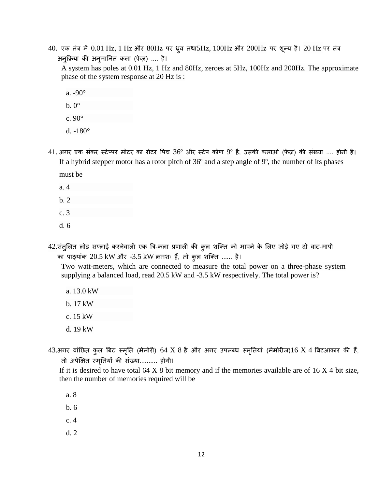$40.$  एक तंत्र में  $0.01$  Hz,  $1$  Hz और  $80$ Hz पर ध्रुव तथा $5$ Hz,  $100$ Hz और  $200$ Hz पर शून्य है।  $20$  Hz पर तंत्र अन्क्रिया की अनुमानित कला (फेज़) .... है।

A system has poles at 0.01 Hz, 1 Hz and 80Hz, zeroes at 5Hz, 100Hz and 200Hz. The approximate phase of the system response at 20 Hz is :

a. -90°

- $b. 0^\circ$
- c. 90°
- d. -180°
- $41.$  अगर एक संकर स्टेप्पर मोटर का रोटर पिच  $36^{\circ}$  और स्टेप कोण  $9^{\circ}$  है, उसकी कलाओं (फेज़) की संख्या .... होनी है। If a hybrid stepper motor has a rotor pitch of 36º and a step angle of 9º, the number of its phases

must be

- a. 4
- b. 2
- c. 3
- d. 6
- 42.संतुलित लोड सप्लाई करनेवाली एक त्रि-कला प्रणाली की कुल शक्ति को मापने के लिए जोड़े गए दो वाट-मापी का पाठ्यांक 20.5 kW और -3.5 kW क्रमशः हैं, तो कुल शक्ति ...... है।

Two watt-meters, which are connected to measure the total power on a three-phase system supplying a balanced load, read 20.5 kW and -3.5 kW respectively. The total power is?

- a. 13.0 kW
- b. 17 kW
- c. 15 kW
- d. 19 kW
- 43.अगर वांछित कुल बिट स्मृति (मेमोरी) 64 X 8 है और अगर उपलब्ध स्मृतियां (मेमोरीज)16 X 4 बिटआकार की हैं, िो अपेक्षक्षि स्मतृियों की सिंख्या.......... होगी।

If it is desired to have total  $64 \times 8$  bit memory and if the memories available are of  $16 \times 4$  bit size, then the number of memories required will be

- a. 8
- b. 6
- c. 4
- d. 2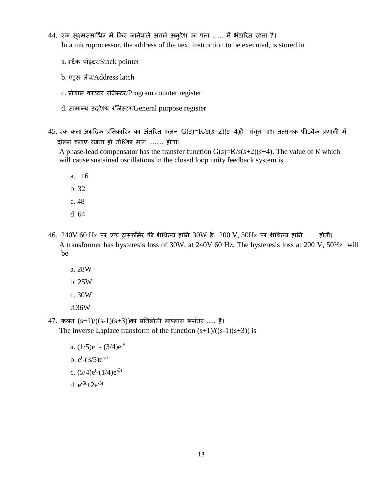- 44. एक सूक्ष्मसंसाधित्र में किए जानेवाले अगले अनुदेश का पता ...... में भंड़ारित रहता है। In a microprocessor, the address of the next instruction to be executed, is stored in
	- a. स्टैक पोइंटर/Stack pointer
	- b. एड्रस लैच/Address latch
	- c. प्रोग्राम काउंटर रजिस्टर/Program counter register
	- d. सामान्य उद्देश्य रजिस्टर/General purpose register
- $45.$  एक कला-अग्रदिक प्रतिकारित्र का अंतरित फलन  $G(s)=K/s(s+2)(s+4)$ है। संवृत्त पाश तत्समक फीडबैक प्रणाली में दोलन बनाए िखना हो िो*K*का मान ........ होगा।

A phase-lead compensator has the transfer function  $G(s) = K/s(s+2)(s+4)$ . The value of *K* which will cause sustained oscillations in the closed loop unity feedback system is

- a. 16
- b. 32
- c. 48
- d. 64
- $46. 240V 60 Hz$  पर एक ट्रास्फॉर्मर की शैथिल्य हानि  $30W$  है।  $200V$ ,  $50Hz$  पर शैथिल्य हानि ...... होगी। A transformer has hysteresis loss of 30W, at 240V 60 Hz. The hysteresis loss at 200 V, 50Hz will be
	- a. 28W
	- b. 25W
	- c. 30W
	- d.36W

 $47.$  फलन  $(s+1)/((s-1)(s+3))$ का प्रतिलोमी लाप्लास रूपांतर ..... है।

The inverse Laplace transform of the function  $(s+1)/((s-1)(s+3))$  is

a.  $(1/5)e^{-t}$  -  $(3/4)e^{-5t}$ b.  $e^{t}$ - $(3/5)e^{-3t}$ c.  $(5/4)e^{t}-(1/4)e^{-3t}$ d.  $e^{-5t}+2e^{-3t}$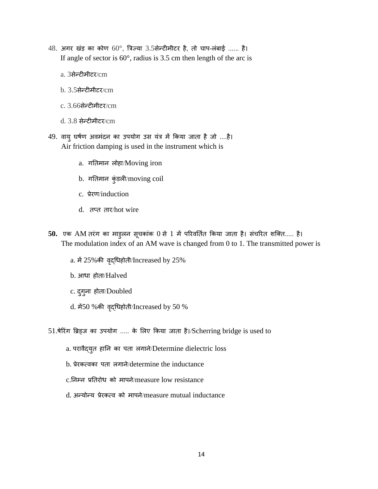- $48.$  अगर खंड़ का कोण  $60^{\circ}$ , त्रिज्या  $3.5$ सेन्टीमीटर है, तो चाप-लंबाई ...... है। If angle of sector is  $60^\circ$ , radius is 3.5 cm then length of the arc is
	- a. 3सेन्टीमीटर/cm
	- $b. 3.5$ सेन्टीमीटर/ $cm$
	- c. 3.66सेन्टीमीटि/cm
	- d. 3.8 सेन्टीमीटि/cm
- 49. वायु घर्षण अवमंदन का उपयोग उस यंत्र में किया जाता है जो ....है। Air friction damping is used in the instrument which is
	- a. गतिमान लोहा/Moving iron
	- b. गतिमान कुंडली/moving coil
	- c. प्रेरण/induction
	- d. तप्त तार/hot wire
- 50. एक AM तरंग का माड़लन सूचकांक 0 से 1 में परिवर्तित किया जाता है। संचरित शक्ति..... है। The modulation index of an AM wave is changed from 0 to 1. The transmitted power is
	- a. में25%की वद्ृचधहोिी/Increased by 25%
	- b. आधा होता/Halved
	- c. दुगुना होता/Doubled
	- d. में50 %की वृद्धिहोती/Increased by 50 %

51.षेरिंग ब्रिड्ज का उपयोग ..... के लिए किया जाता है।/Scherring bridge is used to

- a. परावैद्युत हानि का पता लगाने/Determine dielectric loss
- b. प्रेरकत्वका पता लगाने/determine the inductance
- c.तनम्न प्रतििोध को मापने/measure low resistance
- d. अन्योन्य प्रेरकत्व को मापने/measure mutual inductance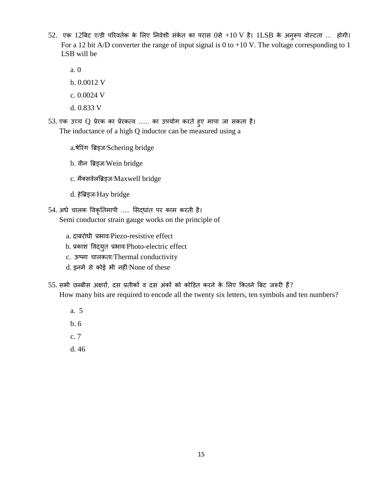- 52. एक 12बिट ए/डी परिवर्तक के लिए निवेशी संकेत का परास 0से +10 V है। 1LSB के अनुरूप वोल्टता ... होगी। For a 12 bit A/D converter the range of input signal is 0 to +10 V. The voltage corresponding to 1 LSB will be
	- a. 0
	- b. 0.0012 V
	- c. 0.0024 V
	- d. 0.833 V
- 53. एक उच्च Q प्रेरक का प्रेरकत्व ...... का उपयोग करते हुए मापा जा सकता है। The inductance of a high Q inductor can be measured using a
	- a.षेरििंग त्रिड्ज/Schering bridge
	- b. वीन त्रिड्ज/Wein bridge
	- c. मैक्सवेलब्रिड्ज/Maxwell bridge
	- d. हेत्रिड्ज/Hay bridge
- 54. अर्ध चालक विकृतिमापी ..... सिद्धांत पर काम करती है। Semi conductor strain gauge works on the principle of
	- a. दाबरोधी प्रभाव/Piezo-resistive effect
	- b. प्रकाश विद्युत प्रभाव/Photo-electric effect
	- c. ऊष्मा चालकता/Thermal conductivity
	- d. इनमें से कोई भी नहीिं/None of these
- 55. सभी छब्बीस अक्षरों, दस प्रतीकों व दस अंकों को कोड़ित करने के लिए कितने बिट जरूरी हैं?

How many bits are required to encode all the twenty six letters, ten symbols and ten numbers?

- a. 5
- b. 6
- c. 7
- d. 46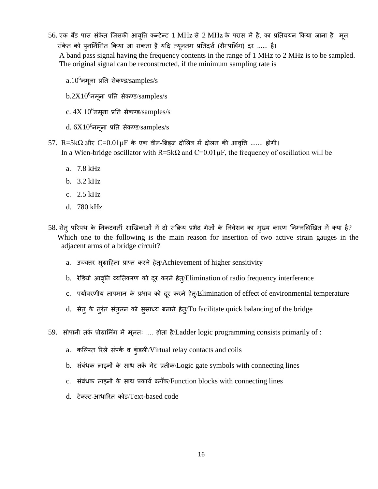56. एक बैंड पास संकेत जिसकी आवृत्ति कन्टेन्ट 1 MHz से 2 MHz के परास में है, का प्रतिचयन किया जाना है। मूल संकेत को पुनर्निमित किया जा सकता है यदि न्यूनतम प्रतिदर्श (सैम्पलिंग) दर ...... है।

 A band pass signal having the frequency contents in the range of 1 MHz to 2 MHz is to be sampled. The original signal can be reconstructed, if the minimum sampling rate is

- $a.10^6$ नमूना प्रति सेकण्ड/samples/s
- $b.2X10^6$ नमूना प्रति सेकण्ड/samples/s
- $c. 4X 10<sup>6</sup>$ नमूना प्रति सेकण्ड/samples/s
- $d. 6X10^6$ नमूना प्रति सेकण्ड/samples/s
- $57.$  R=5kΩ और C= $0.01\mu$ F के एक वीन-ब्रिड्ज दोलित्र में दोलन की आवृत्ति ....... होगी। In a Wien-bridge oscillator with  $R=5k\Omega$  and  $C=0.01\mu$ F, the frequency of oscillation will be
	- a. 7.8 kHz
	- b. 3.2 kHz
	- c. 2.5 kHz
	- d. 780 kHz
- 58. सेत् परिपथ के निकटवर्ती शाखिकाओं में दो सक्रिय प्रभेद गेजों के निवेशन का मुख्य कारण निम्नलिखित में क्या है? Which one to the following is the main reason for insertion of two active strain gauges in the adjacent arms of a bridge circuit?
	- a. उच्चतर सुग्राहिता प्राप्त करने हेत्/Achievement of higher sensitivity
	- b. रेडियो आवृत्ति व्यतिकरण को दूर करने हेत्/Elimination of radio frequency interference
	- c. पर्यावरणीय तापमान के प्रभाव को दूर करने हेत्/Elimination of effect of environmental temperature
	- d. सेत् के तूरंत संतुलन को सुसाध्य बनाने हेत्/To facilitate quick balancing of the bridge
- 59. सोपानी तर्क प्रोग्रामिंग में मूलतः .... होता है/Ladder logic programming consists primarily of :
	- a. कल्पित रिले संपर्क व कुंडली/Virtual relay contacts and coils
	- b. संबंधक लाइनों के साथ तर्क गेट प्रतीक/Logic gate symbols with connecting lines
	- c. संबंधक लाइनों के साथ प्रकार्य ब्लॉक/Function blocks with connecting lines
	- d. टेक्स्ट-आधारित कोड/Text-based code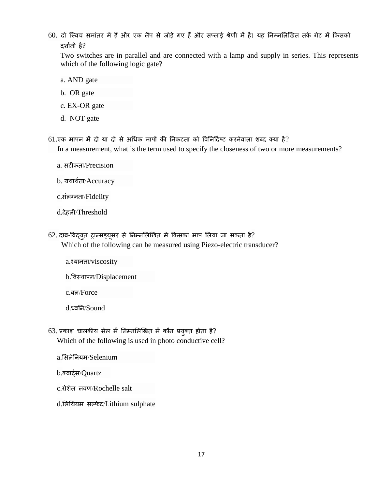60. दो स्विच समांतर में हैं और एक लैंप से जोड़े गए हैं और सप्लाई श्रेणी में है। यह निम्नलिखित तर्क गेट में किसको दर्शाती है?

Two switches are in parallel and are connected with a lamp and supply in series. This represents which of the following logic gate?

- a. AND gate
- b. OR gate
- c. EX-OR gate
- d. NOT gate

 $61.$ एक मापन में दो या दो से अधिक मापों की निकटता को विनिर्दिष्ट करनेवाला शब्द क्या है?

In a measurement, what is the term used to specify the closeness of two or more measurements?

- a. सटीकता/Precision
- b. यथार्थता/Accuracy
- c.सिंलग्निा/Fidelity
- d.देहली/Threshold
- 62. दाब-विद्युत ट्रान्सड्यूसर से निम्नलिखित में किसका माप लिया जा सकता है? Which of the following can be measured using Piezo-electric transducer?
	- a.श्यानता/viscosity
	- b.त्तवस्थापन/Displacement
	- c.बल/Force
	- d.ध्वतन/Sound
- $63.$  प्रकाश चालकीय सेल में निम्नलिखित में कौन प्रयुक्त होता है? Which of the following is used in photo conductive cell?
	- a.लसलेतनयम/Selenium
	- b.तवार्टधस/Quartz
	- c.िोशेल लवण/Rochelle salt
	- d.लिथियम सल्फेट/Lithium sulphate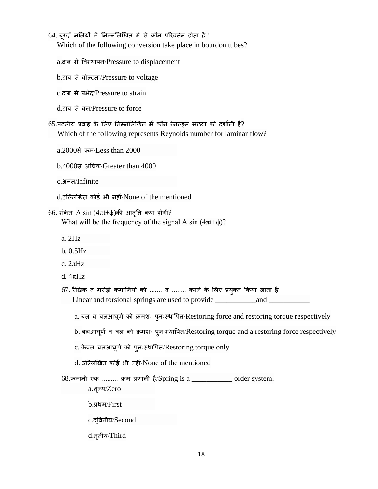## 64. बूरदाँ नलियों में निम्नलिखित में से कौन परिवर्तन होता है?

Which of the following conversion take place in bourdon tubes?

a.दाब से त्तवस्थापन/Pressure to displacement

b.दाब से वोल्टता/Pressure to voltage

c.दाब से प्रभेद/Pressure to strain

d.दाब से बल/Pressure to force

65.पटलीय प्रवाह के लिए निम्नलिखित में कौन रेनल्ड्स संख्या को दर्शाती है? Which of the following represents Reynolds number for laminar flow?

a.2000से कम/Less than 2000

b.4000से अचधक/Greater than 4000

c.अनिंि/Infinite

d.उल्लिखित कोई भी नहीं/None of the mentioned

## 66. संकेत A sin  $(4\pi t+\phi)$ की आवृति क्या होगी?

What will be the frequency of the signal A sin  $(4\pi t+\phi)$ ?

- a. 2Hz
- b. 0.5Hz
- c. 2πHz
- d.  $4\pi$ Hz

67. रैखिक व मरोड़ी कमानियों को ....... व ........ करने के लिए प्रयुक्त किया जाता है। Linear and torsional springs are used to provide \_\_\_\_\_\_\_\_\_\_\_\_\_\_\_\_\_\_\_\_\_\_\_\_\_\_\_\_\_\_\_\_

a. बल व बलआघूर्ण को क्रमशः पुनःस्थापित/Restoring force and restoring torque respectively

b. बलआघूर्ण व बल को क्रमशः प्लःस्थापित/Restoring torque and a restoring force respectively

- $c$ . केवल बलआघूर्ण को पुनःस्थापित/Restoring torque only
- d. उल्लिखित कोई भी नहीं/None of the mentioned

68.कमानी एक ......... क्रम प्रणाली है/Spring is a \_\_\_\_\_\_\_\_\_\_\_ order system.

a.शून्य/Zero

- b.प्रथम/First
- c.द्त्तविीय/Second
- d.तृतीय/Third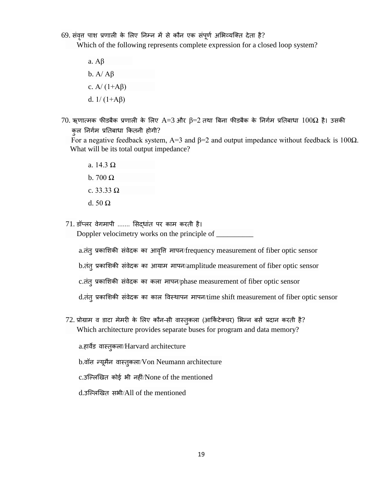69. संवृत्त पाश प्रणाली के लिए निम्न में से कौन एक संपूर्ण अभिव्यक्ति देता है?

Which of the following represents complete expression for a closed loop system?

- a. Aβ b.  $A/\overline{A}\beta$ c. A/  $(1+A\beta)$ d.  $1/(1+A\beta)$
- $70.$  ऋणात्मक फीडबैक प्रणाली के लिए A=3 और  $\beta$ =2 तथा बिना फीडबैक के निर्गम प्रतिबाधा  $100\Omega$  है। उसकी कुल निर्गम प्रतिबाधा कितनी होगी?

For a negative feedback system, A=3 and  $\beta$ =2 and output impedance without feedback is 100 $\Omega$ . What will be its total output impedance?

- a. 14.3 Ω
- b. 700  $\Omega$
- c. 33.33  $\Omega$
- d. 50 Ω

71. डॉप्लर वेगमापी ....... सिदधांत पर काम करती है।

Doppler velocimetry works on the principle of \_\_\_\_\_\_\_\_\_\_

a.ििंिुप्रकालशकी सिंवेदक का आवत्तृि मापन/frequency measurement of fiber optic sensor

b.तंत् प्रकाशिकी संवेदक का आयाम मापन/amplitude measurement of fiber optic sensor

c.ििंिुप्रकालशकी सिंवेदक का कला मापन/phase measurement of fiber optic sensor

d.ििंिुप्रकालशकी सिंवेदक का काल त्तवस्थापन मापन/time shift measurement of fiber optic sensor

 $72$ . प्रोग्राम व डाटा मेमरी के लिए कौन-सी वास्तुकला (आर्किटेक्चर) भिन्न बसें प्रदान करती है? Which architecture provides separate buses for program and data memory?

a.हार्वेड वास्तुकला/Harvard architecture

b.वॉन न्यूमैन वास्तुकला/Von Neumann architecture

c.उल्लिखित कोई भी नहीं/None of the mentioned

d.उल्लिखित सभी/All of the mentioned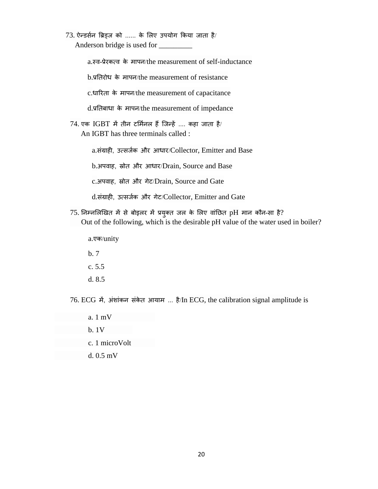$73.$  ऐन्डर्सन ब्रिड्ज को ...... के लिए उपयोग किया जाता है/ Anderson bridge is used for \_\_\_\_\_\_\_\_\_

a.स्व-प्रेरकत्व के मापन/the measurement of self-inductance

b.प्रतििोध के मापन/the measurement of resistance

c.धारिता के मापन/the measurement of capacitance

d.प्रतिबाधा के मापन/the measurement of impedance

 $74.$  एक IGBT में तीन टर्मिनल हैं जिन्हें .... कहा जाता है/ An IGBT has three terminals called :

a.संग्राही, उत्सर्जक और आधार/Collector, Emitter and Base

b.अपवाह, स्रोत और आधार/Drain, Source and Base

c.अपवाह, स्रोत और गेट/Drain, Source and Gate

d.संग्राही, उत्सर्जक और गेट/Collector, Emitter and Gate

 $75.$  निम्नलिखित में से बोइलर में प्रयुक्त जल के लिए वांछित pH मान कौन-सा है? Out of the following, which is the desirable pH value of the water used in boiler?

a.एक/unity

- b. 7 c. 5.5
- d. 8.5

76. ECG में, अंशांकन संकेत आयाम ... है/In ECG, the calibration signal amplitude is

- a. 1 mV
- b. 1V
- c. 1 microVolt
- d. 0.5 mV